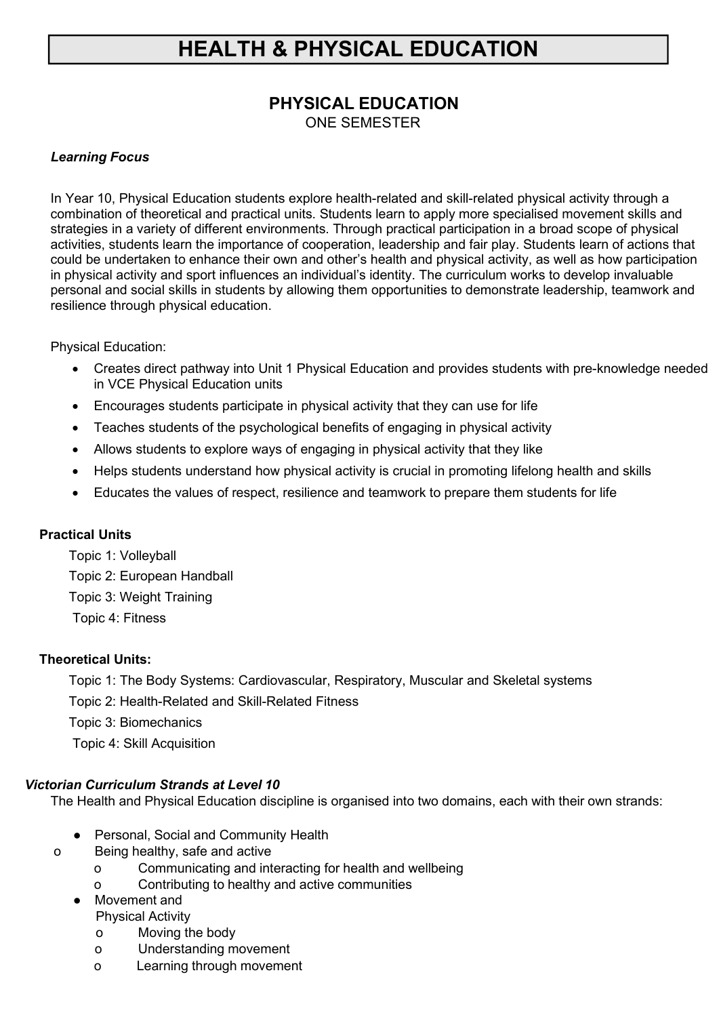# **PHYSICAL EDUCATION**

ONE SEMESTER

### *Learning Focus*

In Year 10, Physical Education students explore health-related and skill-related physical activity through a combination of theoretical and practical units. Students learn to apply more specialised movement skills and strategies in a variety of different environments. Through practical participation in a broad scope of physical activities, students learn the importance of cooperation, leadership and fair play. Students learn of actions that could be undertaken to enhance their own and other's health and physical activity, as well as how participation in physical activity and sport influences an individual's identity. The curriculum works to develop invaluable personal and social skills in students by allowing them opportunities to demonstrate leadership, teamwork and resilience through physical education.

Physical Education:

- Creates direct pathway into Unit 1 Physical Education and provides students with pre-knowledge needed in VCE Physical Education units
- Encourages students participate in physical activity that they can use for life
- Teaches students of the psychological benefits of engaging in physical activity
- Allows students to explore ways of engaging in physical activity that they like
- Helps students understand how physical activity is crucial in promoting lifelong health and skills
- Educates the values of respect, resilience and teamwork to prepare them students for life

### **Practical Units**

 Topic 1: Volleyball Topic 2: European Handball Topic 3: Weight Training Topic 4: Fitness

### **Theoretical Units:**

Topic 1: The Body Systems: Cardiovascular, Respiratory, Muscular and Skeletal systems

Topic 2: Health-Related and Skill-Related Fitness

Topic 3: Biomechanics

Topic 4: Skill Acquisition

### *Victorian Curriculum Strands at Level 10*

The Health and Physical Education discipline is organised into two domains, each with their own strands:

- Personal, Social and Community Health
- o Being healthy, safe and active
	- o Communicating and interacting for health and wellbeing
	- o Contributing to healthy and active communities
	- Movement and Physical Activity
		- o Moving the body
		- o Understanding movement
		- o Learning through movement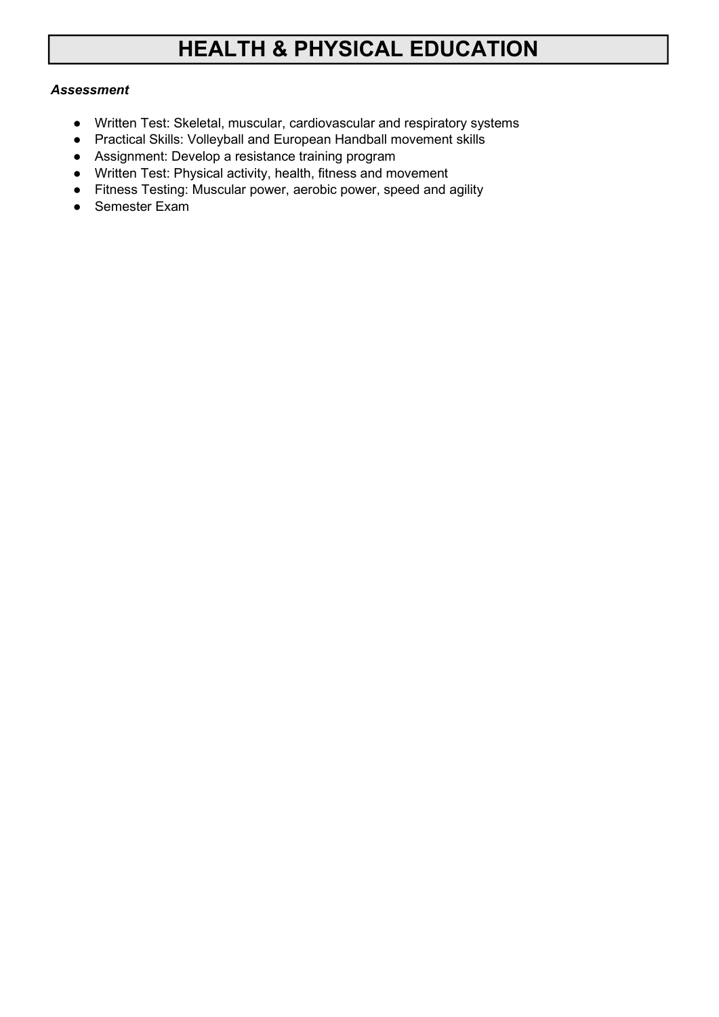### *Assessment*

- Written Test: Skeletal, muscular, cardiovascular and respiratory systems
- Practical Skills: Volleyball and European Handball movement skills
- Assignment: Develop a resistance training program
- Written Test: Physical activity, health, fitness and movement
- Fitness Testing: Muscular power, aerobic power, speed and agility
- Semester Exam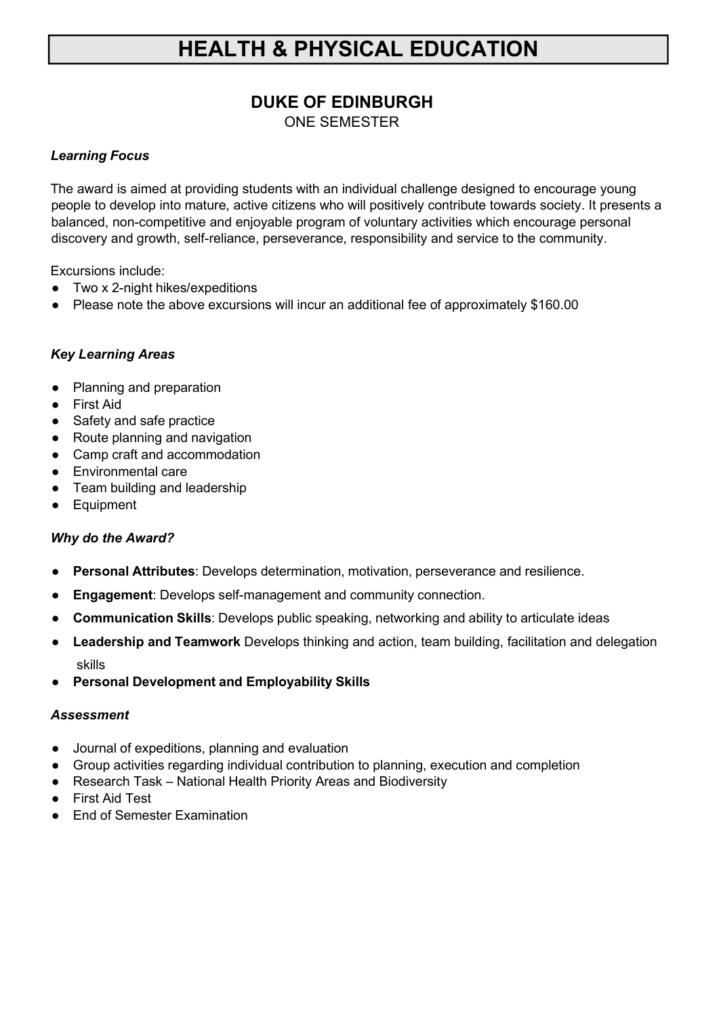## **DUKE OF EDINBURGH** ONE SEMESTER

### *Learning Focus*

The award is aimed at providing students with an individual challenge designed to encourage young people to develop into mature, active citizens who will positively contribute towards society. It presents a balanced, non-competitive and enjoyable program of voluntary activities which encourage personal discovery and growth, self-reliance, perseverance, responsibility and service to the community.

Excursions include:

- Two x 2-night hikes/expeditions
- Please note the above excursions will incur an additional fee of approximately \$160.00

### *Key Learning Areas*

- Planning and preparation
- First Aid
- Safety and safe practice
- Route planning and navigation
- Camp craft and accommodation
- Environmental care
- Team building and leadership
- Equipment

### *Why do the Award?*

- **Personal Attributes**: Develops determination, motivation, perseverance and resilience.
- **Engagement**: Develops self-management and community connection.
- **Communication Skills**: Develops public speaking, networking and ability to articulate ideas
- **Leadership and Teamwork** Develops thinking and action, team building, facilitation and delegation skills
- **Personal Development and Employability Skills**

### *Assessment*

- Journal of expeditions, planning and evaluation
- Group activities regarding individual contribution to planning, execution and completion
- Research Task National Health Priority Areas and Biodiversity
- First Aid Test
- End of Semester Examination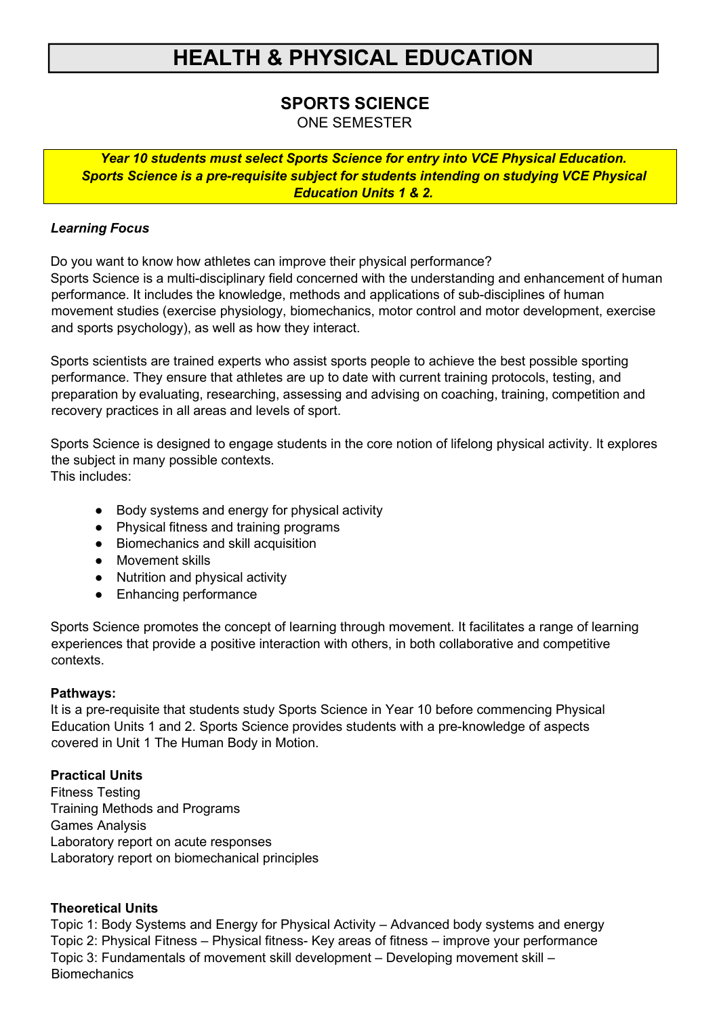# **SPORTS SCIENCE**

ONE SEMESTER

*Year 10 students must select Sports Science for entry into VCE Physical Education. Sports Science is a pre-requisite subject for students intending on studying VCE Physical Education Units 1 & 2.*

### *Learning Focus*

Do you want to know how athletes can improve their physical performance? Sports Science is a multi-disciplinary field concerned with the understanding and enhancement of human performance. It includes the knowledge, methods and applications of sub-disciplines of human movement studies (exercise physiology, biomechanics, motor control and motor development, exercise and sports psychology), as well as how they interact.

Sports scientists are trained experts who assist sports people to achieve the best possible sporting performance. They ensure that athletes are up to date with current training protocols, testing, and preparation by evaluating, researching, assessing and advising on coaching, training, competition and recovery practices in all areas and levels of sport.

Sports Science is designed to engage students in the core notion of lifelong physical activity. It explores the subject in many possible contexts. This includes:

- Body systems and energy for physical activity
- Physical fitness and training programs
- Biomechanics and skill acquisition
- Movement skills
- Nutrition and physical activity
- Enhancing performance

Sports Science promotes the concept of learning through movement. It facilitates a range of learning experiences that provide a positive interaction with others, in both collaborative and competitive contexts.

### **Pathways:**

It is a pre-requisite that students study Sports Science in Year 10 before commencing Physical Education Units 1 and 2. Sports Science provides students with a pre-knowledge of aspects covered in Unit 1 The Human Body in Motion.

### **Practical Units**

Fitness Testing Training Methods and Programs Games Analysis Laboratory report on acute responses Laboratory report on biomechanical principles

### **Theoretical Units**

Topic 1: Body Systems and Energy for Physical Activity – Advanced body systems and energy Topic 2: Physical Fitness – Physical fitness- Key areas of fitness – improve your performance Topic 3: Fundamentals of movement skill development – Developing movement skill – **Biomechanics**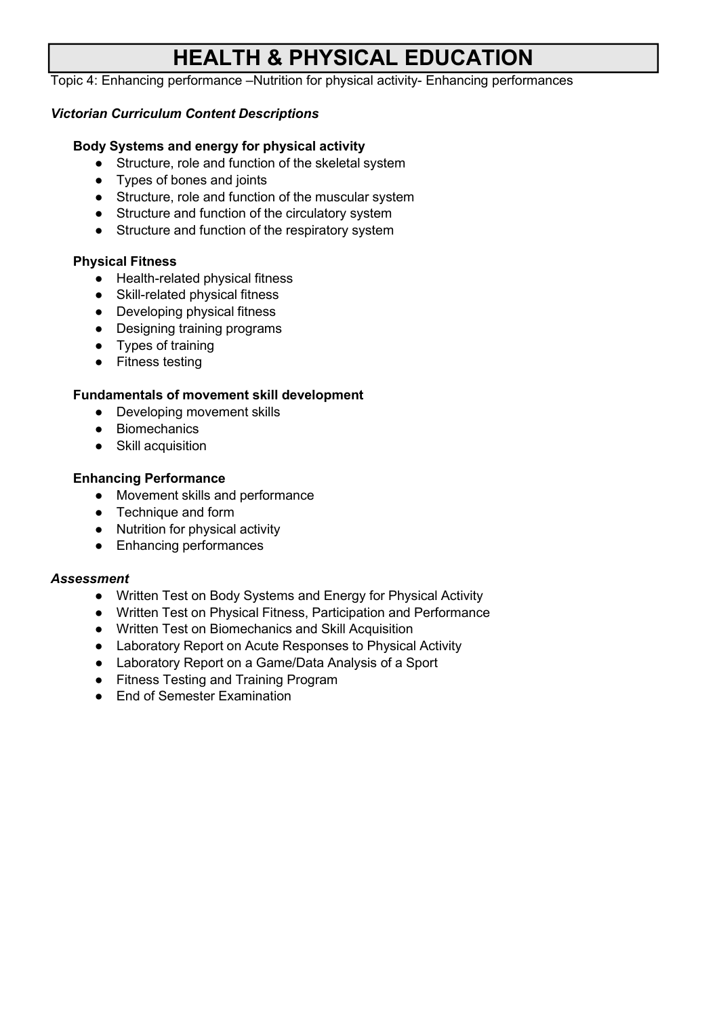Topic 4: Enhancing performance –Nutrition for physical activity- Enhancing performances

### *Victorian Curriculum Content Descriptions*

### **Body Systems and energy for physical activity**

- Structure, role and function of the skeletal system
- Types of bones and joints
- Structure, role and function of the muscular system
- Structure and function of the circulatory system
- Structure and function of the respiratory system

#### **Physical Fitness**

- Health-related physical fitness
- Skill-related physical fitness
- Developing physical fitness
- Designing training programs
- Types of training
- Fitness testing

### **Fundamentals of movement skill development**

- Developing movement skills
- Biomechanics
- Skill acquisition

#### **Enhancing Performance**

- Movement skills and performance
- Technique and form
- Nutrition for physical activity
- Enhancing performances

#### *Assessment*

- Written Test on Body Systems and Energy for Physical Activity
- Written Test on Physical Fitness, Participation and Performance
- Written Test on Biomechanics and Skill Acquisition
- Laboratory Report on Acute Responses to Physical Activity
- Laboratory Report on a Game/Data Analysis of a Sport
- Fitness Testing and Training Program
- End of Semester Examination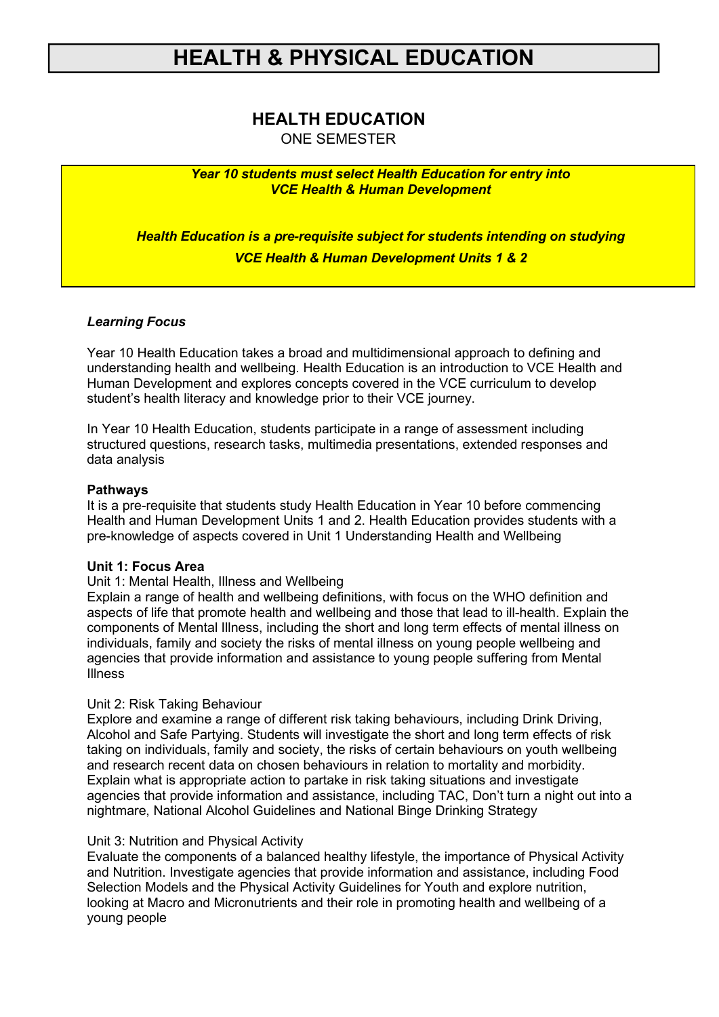## **HEALTH EDUCATION**

ONE SEMESTER

*Year 10 students must select Health Education for entry into VCE Health & Human Development*

*Health Education is a pre-requisite subject for students intending on studying VCE Health & Human Development Units 1 & 2*

#### *Learning Focus*

Year 10 Health Education takes a broad and multidimensional approach to defining and understanding health and wellbeing. Health Education is an introduction to VCE Health and Human Development and explores concepts covered in the VCE curriculum to develop student's health literacy and knowledge prior to their VCE journey.

In Year 10 Health Education, students participate in a range of assessment including structured questions, research tasks, multimedia presentations, extended responses and data analysis

#### **Pathways**

It is a pre-requisite that students study Health Education in Year 10 before commencing Health and Human Development Units 1 and 2. Health Education provides students with a pre-knowledge of aspects covered in Unit 1 Understanding Health and Wellbeing

#### **Unit 1: Focus Area**

#### Unit 1: Mental Health, Illness and Wellbeing

Explain a range of health and wellbeing definitions, with focus on the WHO definition and aspects of life that promote health and wellbeing and those that lead to ill-health. Explain the components of Mental Illness, including the short and long term effects of mental illness on individuals, family and society the risks of mental illness on young people wellbeing and agencies that provide information and assistance to young people suffering from Mental Illness

### Unit 2: Risk Taking Behaviour

Explore and examine a range of different risk taking behaviours, including Drink Driving, Alcohol and Safe Partying. Students will investigate the short and long term effects of risk taking on individuals, family and society, the risks of certain behaviours on youth wellbeing and research recent data on chosen behaviours in relation to mortality and morbidity. Explain what is appropriate action to partake in risk taking situations and investigate agencies that provide information and assistance, including TAC, Don't turn a night out into a nightmare, National Alcohol Guidelines and National Binge Drinking Strategy

#### Unit 3: Nutrition and Physical Activity

Evaluate the components of a balanced healthy lifestyle, the importance of Physical Activity and Nutrition. Investigate agencies that provide information and assistance, including Food Selection Models and the Physical Activity Guidelines for Youth and explore nutrition, looking at Macro and Micronutrients and their role in promoting health and wellbeing of a young people